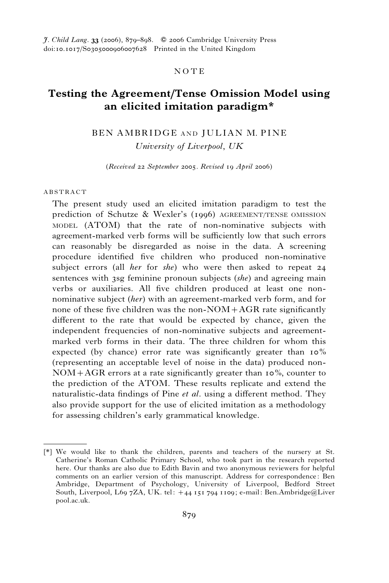# **NOTE**

# Testing the Agreement/Tense Omission Model using an elicited imitation paradigm\*

# BEN AMBRIDGE AND JULIAN M. PINE

University of Liverpool, UK

(Received 22 September 2005. Revised 19 April 2006)

### ABSTRACT

The present study used an elicited imitation paradigm to test the prediction of Schutze & Wexler's (1996) AGREEMENT/TENSE OMISSION MODEL (ATOM) that the rate of non-nominative subjects with agreement-marked verb forms will be sufficiently low that such errors can reasonably be disregarded as noise in the data. A screening procedure identified five children who produced non-nominative subject errors (all *her* for *she*) who were then asked to repeat  $24$ sentences with 3sg feminine pronoun subjects *(she)* and agreeing main verbs or auxiliaries. All five children produced at least one nonnominative subject *(her)* with an agreement-marked verb form, and for none of these five children was the non- $NOM+AGR$  rate significantly different to the rate that would be expected by chance, given the independent frequencies of non-nominative subjects and agreementmarked verb forms in their data. The three children for whom this expected (by chance) error rate was significantly greater than 10% (representing an acceptable level of noise in the data) produced non- $NOM+AGR$  errors at a rate significantly greater than 10%, counter to the prediction of the ATOM. These results replicate and extend the naturalistic-data findings of Pine *et al.* using a different method. They also provide support for the use of elicited imitation as a methodology for assessing children's early grammatical knowledge.

<sup>[\*]</sup> We would like to thank the children, parents and teachers of the nursery at St. Catherine's Roman Catholic Primary School, who took part in the research reported here. Our thanks are also due to Edith Bavin and two anonymous reviewers for helpful comments on an earlier version of this manuscript. Address for correspondence: Ben Ambridge, Department of Psychology, University of Liverpool, Bedford Street South, Liverpool, L69 7ZA, UK. tel: +44 151 794 1109; e-mail: Ben.Ambridge@Liver pool.ac.uk.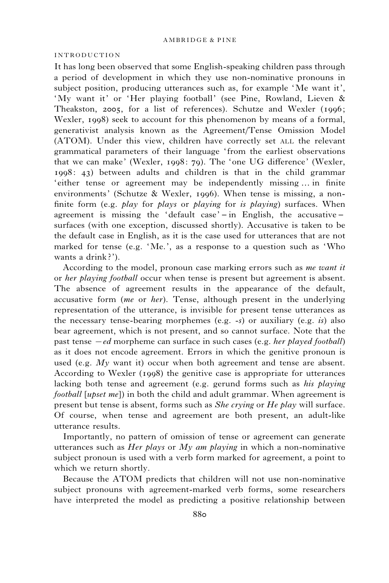### INTRODUCTION

It has long been observed that some English-speaking children pass through a period of development in which they use non-nominative pronouns in subject position, producing utterances such as, for example 'Me want it', 'My want it' or 'Her playing football' (see Pine, Rowland, Lieven & Theakston, 2005, for a list of references). Schutze and Wexler (1996; Wexler, 1998) seek to account for this phenomenon by means of a formal, generativist analysis known as the Agreement/Tense Omission Model (ATOM). Under this view, children have correctly set ALL the relevant grammatical parameters of their language ' from the earliest observations that we can make' (Wexler, 1998: 79). The 'one UG difference' (Wexler, 1998: 43) between adults and children is that in the child grammar 'either tense or agreement may be independently missing ... in finite environments' (Schutze & Wexler, 1996). When tense is missing, a nonfinite form (e.g. *play* for *plays* or *playing* for *is playing*) surfaces. When agreement is missing the 'default case' – in English, the accusative – surfaces (with one exception, discussed shortly). Accusative is taken to be the default case in English, as it is the case used for utterances that are not marked for tense (e.g. 'Me.', as a response to a question such as 'Who wants a drink ?').

According to the model, pronoun case marking errors such as me want it or her playing football occur when tense is present but agreement is absent. The absence of agreement results in the appearance of the default, accusative form (me or her). Tense, although present in the underlying representation of the utterance, is invisible for present tense utterances as the necessary tense-bearing morphemes (e.g.  $-s$ ) or auxiliary (e.g. is) also bear agreement, which is not present, and so cannot surface. Note that the past tense  $-e$ d morpheme can surface in such cases (e.g. *her played football*) as it does not encode agreement. Errors in which the genitive pronoun is used (e.g.  $My$  want it) occur when both agreement and tense are absent. According to Wexler (1998) the genitive case is appropriate for utterances lacking both tense and agreement (e.g. gerund forms such as *his playing football*  $[upset me]$  in both the child and adult grammar. When agreement is present but tense is absent, forms such as *She crying* or *He play* will surface. Of course, when tense and agreement are both present, an adult-like utterance results.

Importantly, no pattern of omission of tense or agreement can generate utterances such as *Her plays* or  $My$  *am playing* in which a non-nominative subject pronoun is used with a verb form marked for agreement, a point to which we return shortly.

Because the ATOM predicts that children will not use non-nominative subject pronouns with agreement-marked verb forms, some researchers have interpreted the model as predicting a positive relationship between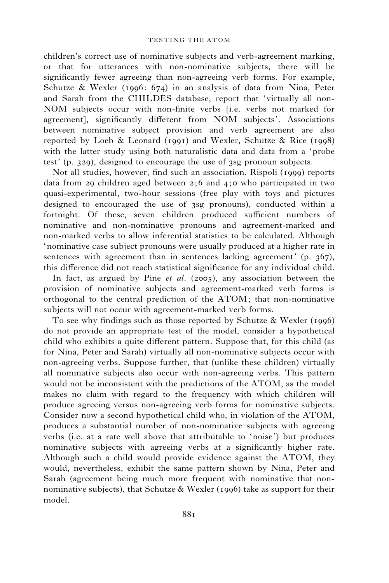### TESTING THE ATOM

children's correct use of nominative subjects and verb-agreement marking, or that for utterances with non-nominative subjects, there will be significantly fewer agreeing than non-agreeing verb forms. For example, Schutze & Wexler (1996: 674) in an analysis of data from Nina, Peter and Sarah from the CHILDES database, report that 'virtually all non-NOM subjects occur with non-finite verbs [i.e. verbs not marked for agreement], significantly different from NOM subjects'. Associations between nominative subject provision and verb agreement are also reported by Loeb & Leonard (1991) and Wexler, Schutze & Rice (1998) with the latter study using both naturalistic data and data from a 'probe test' (p. 329), designed to encourage the use of 3sg pronoun subjects.

Not all studies, however, find such an association. Rispoli (1999) reports data from 29 children aged between 2;6 and 4;0 who participated in two quasi-experimental, two-hour sessions (free play with toys and pictures designed to encouraged the use of 3sg pronouns), conducted within a fortnight. Of these, seven children produced sufficient numbers of nominative and non-nominative pronouns and agreement-marked and non-marked verbs to allow inferential statistics to be calculated. Although 'nominative case subject pronouns were usually produced at a higher rate in sentences with agreement than in sentences lacking agreement' (p. 367), this difference did not reach statistical significance for any individual child.

In fact, as argued by Pine et al. (2005), any association between the provision of nominative subjects and agreement-marked verb forms is orthogonal to the central prediction of the ATOM; that non-nominative subjects will not occur with agreement-marked verb forms.

To see why findings such as those reported by Schutze & Wexler (1996) do not provide an appropriate test of the model, consider a hypothetical child who exhibits a quite different pattern. Suppose that, for this child (as for Nina, Peter and Sarah) virtually all non-nominative subjects occur with non-agreeing verbs. Suppose further, that (unlike these children) virtually all nominative subjects also occur with non-agreeing verbs. This pattern would not be inconsistent with the predictions of the ATOM, as the model makes no claim with regard to the frequency with which children will produce agreeing versus non-agreeing verb forms for nominative subjects. Consider now a second hypothetical child who, in violation of the ATOM, produces a substantial number of non-nominative subjects with agreeing verbs (i.e. at a rate well above that attributable to 'noise') but produces nominative subjects with agreeing verbs at a significantly higher rate. Although such a child would provide evidence against the ATOM, they would, nevertheless, exhibit the same pattern shown by Nina, Peter and Sarah (agreement being much more frequent with nominative that nonnominative subjects), that Schutze & Wexler (1996) take as support for their model.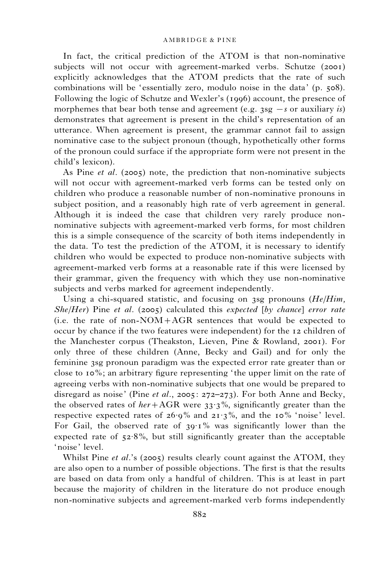In fact, the critical prediction of the ATOM is that non-nominative subjects will not occur with agreement-marked verbs. Schutze (2001) explicitly acknowledges that the ATOM predicts that the rate of such combinations will be 'essentially zero, modulo noise in the data' (p. 508). Following the logic of Schutze and Wexler's (1996) account, the presence of morphemes that bear both tense and agreement (e.g.  $3sg - s$  or auxiliary is) demonstrates that agreement is present in the child's representation of an utterance. When agreement is present, the grammar cannot fail to assign nominative case to the subject pronoun (though, hypothetically other forms of the pronoun could surface if the appropriate form were not present in the child's lexicon).

As Pine *et al.* (2005) note, the prediction that non-nominative subjects will not occur with agreement-marked verb forms can be tested only on children who produce a reasonable number of non-nominative pronouns in subject position, and a reasonably high rate of verb agreement in general. Although it is indeed the case that children very rarely produce nonnominative subjects with agreement-marked verb forms, for most children this is a simple consequence of the scarcity of both items independently in the data. To test the prediction of the ATOM, it is necessary to identify children who would be expected to produce non-nominative subjects with agreement-marked verb forms at a reasonable rate if this were licensed by their grammar, given the frequency with which they use non-nominative subjects and verbs marked for agreement independently.

Using a chi-squared statistic, and focusing on 3sg pronouns  $(He/Him,$  $She/Her$ ) Pine et al. (2005) calculated this expected [by chance] error rate (i.e. the rate of non-NOM+AGR sentences that would be expected to occur by chance if the two features were independent) for the 12 children of the Manchester corpus (Theakston, Lieven, Pine & Rowland, 2001). For only three of these children (Anne, Becky and Gail) and for only the feminine 3sg pronoun paradigm was the expected error rate greater than or close to 10%; an arbitrary figure representing ' the upper limit on the rate of agreeing verbs with non-nominative subjects that one would be prepared to disregard as noise' (Pine *et al.*, 2005: 272–273). For both Anne and Becky, the observed rates of  $her+AGR$  were 33.3%, significantly greater than the respective expected rates of  $26.9\%$  and  $21.3\%$ , and the 10% 'noise' level. For Gail, the observed rate of  $39.1\%$  was significantly lower than the expected rate of  $52.8\%$ , but still significantly greater than the acceptable 'noise' level.

Whilst Pine et al.'s (2005) results clearly count against the ATOM, they are also open to a number of possible objections. The first is that the results are based on data from only a handful of children. This is at least in part because the majority of children in the literature do not produce enough non-nominative subjects and agreement-marked verb forms independently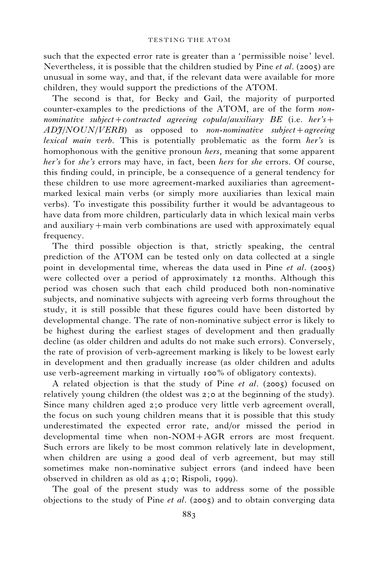such that the expected error rate is greater than a 'permissible noise' level. Nevertheless, it is possible that the children studied by Pine et al. (2005) are unusual in some way, and that, if the relevant data were available for more children, they would support the predictions of the ATOM.

The second is that, for Becky and Gail, the majority of purported counter-examples to the predictions of the ATOM, are of the form nonnominative subject + contracted agreeing copula/auxiliary BE (i.e. her's +  $AD\frac{\gamma}{NOLN/VERB}$  as opposed to non-nominative subject + agreeing lexical main verb. This is potentially problematic as the form her's is homophonous with the genitive pronoun *hers*, meaning that some apparent her's for she's errors may have, in fact, been hers for she errors. Of course, this finding could, in principle, be a consequence of a general tendency for these children to use more agreement-marked auxiliaries than agreementmarked lexical main verbs (or simply more auxiliaries than lexical main verbs). To investigate this possibility further it would be advantageous to have data from more children, particularly data in which lexical main verbs and auxiliary+main verb combinations are used with approximately equal frequency.

The third possible objection is that, strictly speaking, the central prediction of the ATOM can be tested only on data collected at a single point in developmental time, whereas the data used in Pine et al. (2005) were collected over a period of approximately 12 months. Although this period was chosen such that each child produced both non-nominative subjects, and nominative subjects with agreeing verb forms throughout the study, it is still possible that these figures could have been distorted by developmental change. The rate of non-nominative subject error is likely to be highest during the earliest stages of development and then gradually decline (as older children and adults do not make such errors). Conversely, the rate of provision of verb-agreement marking is likely to be lowest early in development and then gradually increase (as older children and adults use verb-agreement marking in virtually 100% of obligatory contexts).

A related objection is that the study of Pine et al. (2005) focused on relatively young children (the oldest was 2;0 at the beginning of the study). Since many children aged 2;0 produce very little verb agreement overall, the focus on such young children means that it is possible that this study underestimated the expected error rate, and/or missed the period in developmental time when non-NOM+AGR errors are most frequent. Such errors are likely to be most common relatively late in development, when children are using a good deal of verb agreement, but may still sometimes make non-nominative subject errors (and indeed have been observed in children as old as 4;0; Rispoli, 1999).

The goal of the present study was to address some of the possible objections to the study of Pine et al. (2005) and to obtain converging data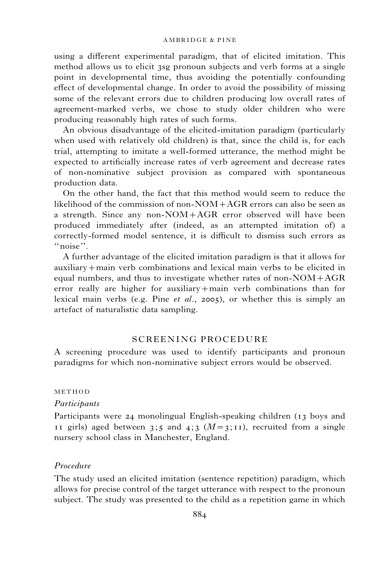using a different experimental paradigm, that of elicited imitation. This method allows us to elicit 3sg pronoun subjects and verb forms at a single point in developmental time, thus avoiding the potentially confounding effect of developmental change. In order to avoid the possibility of missing some of the relevant errors due to children producing low overall rates of agreement-marked verbs, we chose to study older children who were producing reasonably high rates of such forms.

An obvious disadvantage of the elicited-imitation paradigm (particularly when used with relatively old children) is that, since the child is, for each trial, attempting to imitate a well-formed utterance, the method might be expected to artificially increase rates of verb agreement and decrease rates of non-nominative subject provision as compared with spontaneous production data.

On the other hand, the fact that this method would seem to reduce the likelihood of the commission of non- $NOM+AGR$  errors can also be seen as a strength. Since any non-NOM+AGR error observed will have been produced immediately after (indeed, as an attempted imitation of) a correctly-formed model sentence, it is difficult to dismiss such errors as ''noise''.

A further advantage of the elicited imitation paradigm is that it allows for auxiliary+main verb combinations and lexical main verbs to be elicited in equal numbers, and thus to investigate whether rates of non-NOM+AGR error really are higher for auxiliary+main verb combinations than for lexical main verbs (e.g. Pine et al., 2005), or whether this is simply an artefact of naturalistic data sampling.

# SCREENING PROCEDURE

A screening procedure was used to identify participants and pronoun paradigms for which non-nominative subject errors would be observed.

## METHOD

### Participants

Participants were 24 monolingual English-speaking children (13 boys and 11 girls) aged between 3;5 and 4;3  $(M=3;1)$ , recruited from a single nursery school class in Manchester, England.

## Procedure

The study used an elicited imitation (sentence repetition) paradigm, which allows for precise control of the target utterance with respect to the pronoun subject. The study was presented to the child as a repetition game in which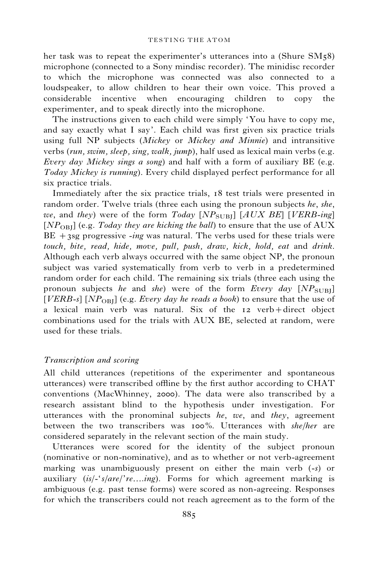her task was to repeat the experimenter's utterances into a (Shure SM58) microphone (connected to a Sony mindisc recorder). The minidisc recorder to which the microphone was connected was also connected to a loudspeaker, to allow children to hear their own voice. This proved a considerable incentive when encouraging children to copy the experimenter, and to speak directly into the microphone.

The instructions given to each child were simply 'You have to copy me, and say exactly what I say'. Each child was first given six practice trials using full NP subjects (Mickey or Mickey and Minnie) and intransitive verbs (run, swim, sleep, sing, walk, jump), half used as lexical main verbs (e.g. Every day Mickey sings a song) and half with a form of auxiliary BE (e.g. Today Mickey is running). Every child displayed perfect performance for all six practice trials.

Immediately after the six practice trials, 18 test trials were presented in random order. Twelve trials (three each using the pronoun subjects he, she, we, and they) were of the form  $Today [NP<sub>SURI</sub>] [ALX BE] [VERB-ing]$  $[NP<sub>OBI</sub>]$  (e.g. Today they are kicking the ball) to ensure that the use of AUX  $BE +3sg$  progressive -ing was natural. The verbs used for these trials were touch, bite, read, hide, move, pull, push, draw, kick, hold, eat and drink. Although each verb always occurred with the same object NP, the pronoun subject was varied systematically from verb to verb in a predetermined random order for each child. The remaining six trials (three each using the pronoun subjects he and she) were of the form Every day  $[NP_{\text{SUB}}]$ [VERB-s] [NP<sub>OBI</sub>] (e.g. Every day he reads a book) to ensure that the use of a lexical main verb was natural. Six of the 12 verb+direct object combinations used for the trials with AUX BE, selected at random, were used for these trials.

## Transcription and scoring

All child utterances (repetitions of the experimenter and spontaneous utterances) were transcribed offline by the first author according to CHAT conventions (MacWhinney, 2000). The data were also transcribed by a research assistant blind to the hypothesis under investigation. For utterances with the pronominal subjects  $he$ ,  $we$ , and they, agreement between the two transcribers was 100%. Utterances with she/her are considered separately in the relevant section of the main study.

Utterances were scored for the identity of the subject pronoun (nominative or non-nominative), and as to whether or not verb-agreement marking was unambiguously present on either the main verb (-s) or auxiliary  $(is/\text{-}'s/are\text{/}'re...ing)$ . Forms for which agreement marking is ambiguous (e.g. past tense forms) were scored as non-agreeing. Responses for which the transcribers could not reach agreement as to the form of the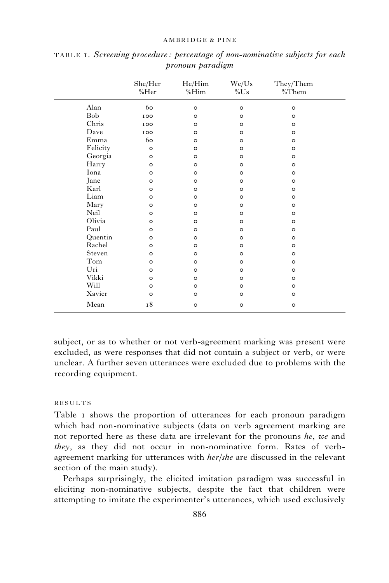|          | She/Her<br>%Her | He/Him<br>%Him | We/Us<br>$\%$ Us | They/Them<br>%Them |
|----------|-----------------|----------------|------------------|--------------------|
| Alan     | 60              | $\circ$        | $\circ$          | $\circ$            |
| Bob      | 100             | $\circ$        | $\circ$          | $\circ$            |
| Chris    | 100             | $\circ$        | $\circ$          | $\circ$            |
| Dave     | 100             | $\circ$        | $\circ$          | $\circ$            |
| Emma     | 60              | $\circ$        | $\circ$          | $\circ$            |
| Felicity | $\circ$         | $\circ$        | $\circ$          | $\circ$            |
| Georgia  | $\circ$         | $\circ$        | $\circ$          | $\circ$            |
| Harry    | $\circ$         | $\circ$        | $\circ$          | $\circ$            |
| Iona     | $\circ$         | $\circ$        | $\circ$          | $\circ$            |
| Jane     | $\circ$         | $\circ$        | $\circ$          | $\circ$            |
| Karl     | $\circ$         | $\circ$        | $\circ$          | $\circ$            |
| Liam     | $\circ$         | $\circ$        | $\circ$          | $\circ$            |
| Mary     | $\circ$         | $\circ$        | $\circ$          | $\circ$            |
| Neil     | $\circ$         | $\circ$        | $\circ$          | $\circ$            |
| Olivia   | $\circ$         | $\circ$        | $\circ$          | $\circ$            |
| Paul     | $\circ$         | $\circ$        | $\circ$          | $\circ$            |
| Quentin  | $\circ$         | $\circ$        | $\circ$          | $\circ$            |
| Rachel   | $\circ$         | $\circ$        | $\circ$          | $\circ$            |
| Steven   | $\circ$         | $\circ$        | $\circ$          | $\circ$            |
| Tom      | $\circ$         | $\circ$        | $\circ$          | $\circ$            |
| Uri      | $\circ$         | $\circ$        | $\circ$          | $\circ$            |
| Vikki    | $\circ$         | $\circ$        | $\circ$          | $\circ$            |
| Will     | $\circ$         | $\circ$        | $\circ$          | $\circ$            |
| Xavier   | $\circ$         | $\circ$        | $\circ$          | $\circ$            |
| Mean     | 18              | $\circ$        | $\circ$          | $\circ$            |

TABLE 1. Screening procedure : percentage of non-nominative subjects for each pronoun paradigm

subject, or as to whether or not verb-agreement marking was present were excluded, as were responses that did not contain a subject or verb, or were unclear. A further seven utterances were excluded due to problems with the recording equipment.

## RESULTS

Table I shows the proportion of utterances for each pronoun paradigm which had non-nominative subjects (data on verb agreement marking are not reported here as these data are irrelevant for the pronouns he, we and they, as they did not occur in non-nominative form. Rates of verbagreement marking for utterances with her/she are discussed in the relevant section of the main study).

Perhaps surprisingly, the elicited imitation paradigm was successful in eliciting non-nominative subjects, despite the fact that children were attempting to imitate the experimenter's utterances, which used exclusively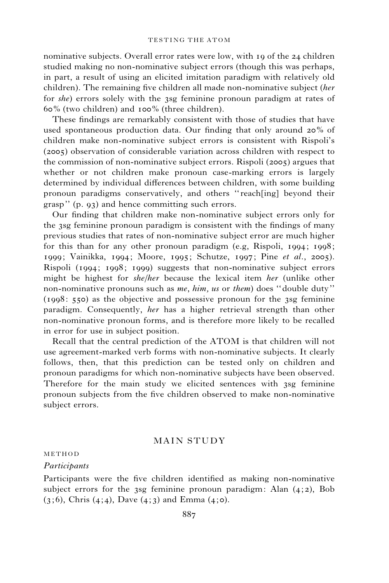nominative subjects. Overall error rates were low, with 19 of the 24 children studied making no non-nominative subject errors (though this was perhaps, in part, a result of using an elicited imitation paradigm with relatively old children). The remaining five children all made non-nominative subject (her for she) errors solely with the 3sg feminine pronoun paradigm at rates of 60% (two children) and 100% (three children).

These findings are remarkably consistent with those of studies that have used spontaneous production data. Our finding that only around 20% of children make non-nominative subject errors is consistent with Rispoli's (2005) observation of considerable variation across children with respect to the commission of non-nominative subject errors. Rispoli (2005) argues that whether or not children make pronoun case-marking errors is largely determined by individual differences between children, with some building pronoun paradigms conservatively, and others ''reach[ing] beyond their grasp'' (p. 93) and hence committing such errors.

Our finding that children make non-nominative subject errors only for the 3sg feminine pronoun paradigm is consistent with the findings of many previous studies that rates of non-nominative subject error are much higher for this than for any other pronoun paradigm (e.g, Rispoli, 1994; 1998; 1999; Vainikka, 1994; Moore, 1995; Schutze, 1997; Pine et al., 2005). Rispoli (1994; 1998; 1999) suggests that non-nominative subject errors might be highest for she/her because the lexical item her (unlike other non-nominative pronouns such as me, him, us or them) does ''double duty'' (1998: 550) as the objective and possessive pronoun for the 3sg feminine paradigm. Consequently, her has a higher retrieval strength than other non-nominative pronoun forms, and is therefore more likely to be recalled in error for use in subject position.

Recall that the central prediction of the ATOM is that children will not use agreement-marked verb forms with non-nominative subjects. It clearly follows, then, that this prediction can be tested only on children and pronoun paradigms for which non-nominative subjects have been observed. Therefore for the main study we elicited sentences with 3sg feminine pronoun subjects from the five children observed to make non-nominative subject errors.

# MAIN STUDY

## METHOD

### Participants

Participants were the five children identified as making non-nominative subject errors for the 3sg feminine pronoun paradigm: Alan  $(4, 2)$ , Bob  $(3, 6)$ , Chris  $(4, 4)$ , Dave  $(4, 3)$  and Emma  $(4, 6)$ .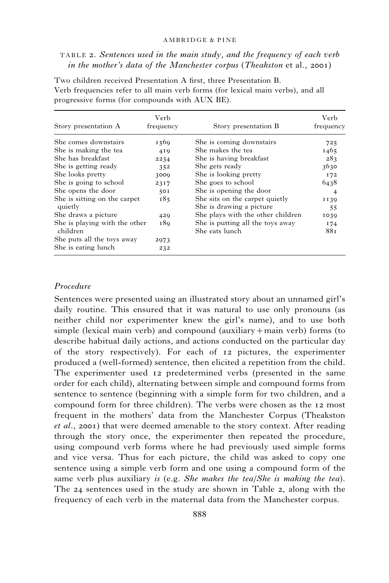TABLE 2. Sentences used in the main study, and the frequency of each verb in the mother's data of the Manchester corpus (Theakston et al., 2001)

| Story presentation A                      | Verb<br>frequency | Story presentation B                                       | Verb<br>frequency |
|-------------------------------------------|-------------------|------------------------------------------------------------|-------------------|
| She comes downstairs                      | 1569              | She is coming downstairs                                   | 725               |
| She is making the tea                     | 419               | She makes the tea                                          | 1465              |
| She has breakfast                         | 2234              | She is having breakfast                                    | 283               |
| She is getting ready                      | 352               | She gets ready                                             | 3630              |
| She looks pretty                          | 3009              | She is looking pretty                                      | 172               |
| She is going to school                    | 2317              | She goes to school                                         | 6438              |
| She opens the door                        | 501               | She is opening the door                                    | 4                 |
| She is sitting on the carpet<br>quietly   | 185               | She sits on the carpet quietly<br>She is drawing a picture | 1139<br>55        |
| She draws a picture                       | 429               | She plays with the other children                          | 1039              |
| She is playing with the other<br>children | 189               | She is putting all the toys away<br>She eats lunch         | I74<br>881        |
| She puts all the toys away                | 2973              |                                                            |                   |
| She is eating lunch                       | 232               |                                                            |                   |

Two children received Presentation A first, three Presentation B. Verb frequencies refer to all main verb forms (for lexical main verbs), and all progressive forms (for compounds with AUX BE).

## Procedure

Sentences were presented using an illustrated story about an unnamed girl's daily routine. This ensured that it was natural to use only pronouns (as neither child nor experimenter knew the girl's name), and to use both simple (lexical main verb) and compound (auxiliary+main verb) forms (to describe habitual daily actions, and actions conducted on the particular day of the story respectively). For each of 12 pictures, the experimenter produced a (well-formed) sentence, then elicited a repetition from the child. The experimenter used 12 predetermined verbs (presented in the same order for each child), alternating between simple and compound forms from sentence to sentence (beginning with a simple form for two children, and a compound form for three children). The verbs were chosen as the 12 most frequent in the mothers' data from the Manchester Corpus (Theakston et al., 2001) that were deemed amenable to the story context. After reading through the story once, the experimenter then repeated the procedure, using compound verb forms where he had previously used simple forms and vice versa. Thus for each picture, the child was asked to copy one sentence using a simple verb form and one using a compound form of the same verb plus auxiliary is (e.g. She makes the tea/She is making the tea). The 24 sentences used in the study are shown in Table 2, along with the frequency of each verb in the maternal data from the Manchester corpus.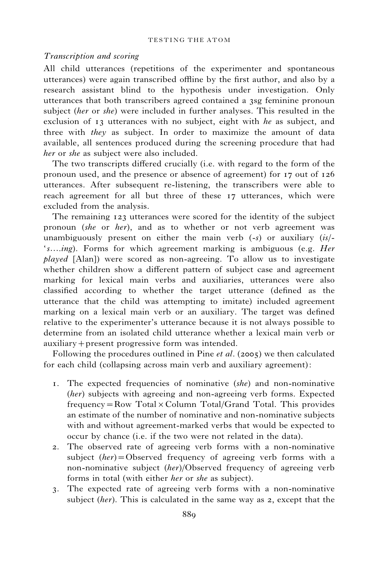## Transcription and scoring

All child utterances (repetitions of the experimenter and spontaneous utterances) were again transcribed offline by the first author, and also by a research assistant blind to the hypothesis under investigation. Only utterances that both transcribers agreed contained a 3sg feminine pronoun subject (her or she) were included in further analyses. This resulted in the exclusion of 13 utterances with no subject, eight with he as subject, and three with they as subject. In order to maximize the amount of data available, all sentences produced during the screening procedure that had her or she as subject were also included.

The two transcripts differed crucially (i.e. with regard to the form of the pronoun used, and the presence or absence of agreement) for 17 out of 126 utterances. After subsequent re-listening, the transcribers were able to reach agreement for all but three of these 17 utterances, which were excluded from the analysis.

The remaining 123 utterances were scored for the identity of the subject pronoun (she or her), and as to whether or not verb agreement was unambiguously present on either the main verb  $(-s)$  or auxiliary  $(is)$ 's...*ing*). Forms for which agreement marking is ambiguous (e.g. *Her* played [Alan]) were scored as non-agreeing. To allow us to investigate whether children show a different pattern of subject case and agreement marking for lexical main verbs and auxiliaries, utterances were also classified according to whether the target utterance (defined as the utterance that the child was attempting to imitate) included agreement marking on a lexical main verb or an auxiliary. The target was defined relative to the experimenter's utterance because it is not always possible to determine from an isolated child utterance whether a lexical main verb or auxiliary+present progressive form was intended.

Following the procedures outlined in Pine *et al.* (2005) we then calculated for each child (collapsing across main verb and auxiliary agreement):

- 1. The expected frequencies of nominative (she) and non-nominative (her) subjects with agreeing and non-agreeing verb forms. Expected frequency=Row Total×Column Total/Grand Total. This provides an estimate of the number of nominative and non-nominative subjects with and without agreement-marked verbs that would be expected to occur by chance (i.e. if the two were not related in the data).
- 2. The observed rate of agreeing verb forms with a non-nominative subject  $(her) =$ Observed frequency of agreeing verb forms with a non-nominative subject (her)/Observed frequency of agreeing verb forms in total (with either her or she as subject).
- 3. The expected rate of agreeing verb forms with a non-nominative subject (her). This is calculated in the same way as  $\alpha$ , except that the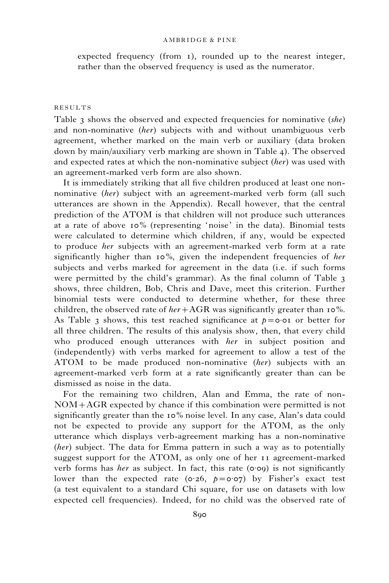expected frequency (from 1), rounded up to the nearest integer, rather than the observed frequency is used as the numerator.

### RESULTS

Table 3 shows the observed and expected frequencies for nominative  $(she)$ and non-nominative *(her)* subjects with and without unambiguous verb agreement, whether marked on the main verb or auxiliary (data broken down by main/auxiliary verb marking are shown in Table 4). The observed and expected rates at which the non-nominative subject *(her)* was used with an agreement-marked verb form are also shown.

It is immediately striking that all five children produced at least one nonnominative (her) subject with an agreement-marked verb form (all such utterances are shown in the Appendix). Recall however, that the central prediction of the ATOM is that children will not produce such utterances at a rate of above 10% (representing 'noise' in the data). Binomial tests were calculated to determine which children, if any, would be expected to produce *her* subjects with an agreement-marked verb form at a rate significantly higher than  $10\%$ , given the independent frequencies of *her* subjects and verbs marked for agreement in the data (i.e. if such forms were permitted by the child's grammar). As the final column of Table 3 shows, three children, Bob, Chris and Dave, meet this criterion. Further binomial tests were conducted to determine whether, for these three children, the observed rate of  $her+AGR$  was significantly greater than 10%. As Table 3 shows, this test reached significance at  $p = 0.01$  or better for all three children. The results of this analysis show, then, that every child who produced enough utterances with her in subject position and (independently) with verbs marked for agreement to allow a test of the ATOM to be made produced non-nominative (her) subjects with an agreement-marked verb form at a rate significantly greater than can be dismissed as noise in the data.

For the remaining two children, Alan and Emma, the rate of non-NOM+AGR expected by chance if this combination were permitted is not significantly greater than the 10% noise level. In any case, Alan's data could not be expected to provide any support for the ATOM, as the only utterance which displays verb-agreement marking has a non-nominative (her) subject. The data for Emma pattern in such a way as to potentially suggest support for the ATOM, as only one of her 11 agreement-marked verb forms has *her* as subject. In fact, this rate ( $\circ \circ$ ) is not significantly lower than the expected rate ( $o.26$ ,  $p = o.07$ ) by Fisher's exact test (a test equivalent to a standard Chi square, for use on datasets with low expected cell frequencies). Indeed, for no child was the observed rate of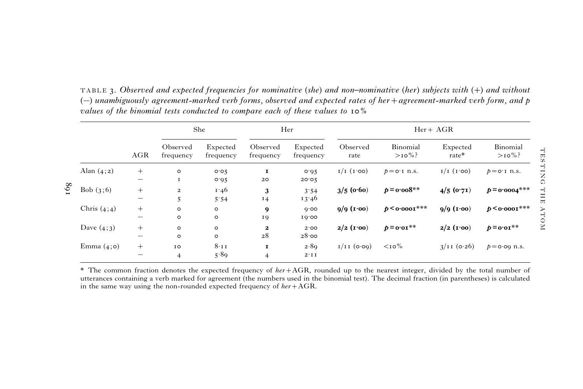|               |                                                                                  |                        | She                   |                        | Her                   |                      | $Her+AGR$            |                      |                       |  |
|---------------|----------------------------------------------------------------------------------|------------------------|-----------------------|------------------------|-----------------------|----------------------|----------------------|----------------------|-----------------------|--|
|               | <b>AGR</b>                                                                       | Observed<br>frequency  | Expected<br>frequency | Observed<br>frequency  | Expected<br>frequency | Observed<br>rate     | Binomial<br>$>10\%$  | Expected<br>rate*    | Binomial<br>$>10\%$ ? |  |
| Alan $(4;2)$  | $^{+}$<br>$\overline{\phantom{0}}$                                               | $\circ$<br>$\mathbf I$ | 0.05<br>0.05          | 1<br>20                | 0.95<br>20.05         | $I/I$ $(I \cdot 00)$ | $p = o \cdot I$ n.s. | $I/I$ $(I \cdot 00)$ | $p = o \cdot I$ n.s.  |  |
| Bob $(3,6)$   | $+$<br>$\overline{\phantom{m}}$                                                  | $\overline{a}$<br>5    | 1.46<br>5.54          | 3<br>14                | 3.54<br>13.46         | $3/5$ (0.60)         | $p = 0.008$ **       | $4/5$ (0.71)         | $p = 0.0004$ ***      |  |
| Chris $(4;4)$ | $+$                                                                              | $\circ$<br>$\circ$     | $\circ$<br>$\circ$    | 9<br>19                | 0.00<br>10.00         | $9/9$ (1.00)         | $p 0'0001***$        | $9/9$ (1.00)         | $p 0'0001***$         |  |
| Dave $(4;3)$  | $^{+}$<br>$\overline{\phantom{m}}$                                               | $\circ$<br>$\circ$     | $\circ$<br>$\circ$    | $\boldsymbol{z}$<br>28 | 2.00<br>28.00         | $2/2$ (1.00)         | $p = 0.01$ **        | $2/2$ (1.00)         | $p = 0.01$ **         |  |
| Emma $(4; o)$ | $+$<br>$\hspace{1.0cm} \rule{1.5cm}{0.15cm} \hspace{1.0cm} \rule{1.5cm}{0.15cm}$ | IO<br>$\overline{4}$   | $8 \cdot 11$<br>5.89  | 1<br>$\overline{4}$    | 2.89<br>$2 \cdot I I$ | $I/I$ [ $(0.00)$     | $<$ 10%              | $3/11$ (0.26)        | $p = 0.09$ n.s.       |  |

TABLE 3. Observed and expected frequencies for nominative (she) and non–nominative (her) subjects with (+) and without  $(-)$  unambiguously agreement-marked verb forms, observed and expected rates of her + agreement-marked verb form, and p values of the binomial tests conducted to compare each of these values to 10%

\* The common fraction denotes the expected frequency of  $her+AGR$ , rounded up to the nearest integer, divided by the total number of utterances containing <sup>a</sup> verb marked for agreement (the numbers used in the binomial test). The decimal fraction (in parentheses) is calculated in the same way using the non-rounded expected frequency of  $her + AGR$ .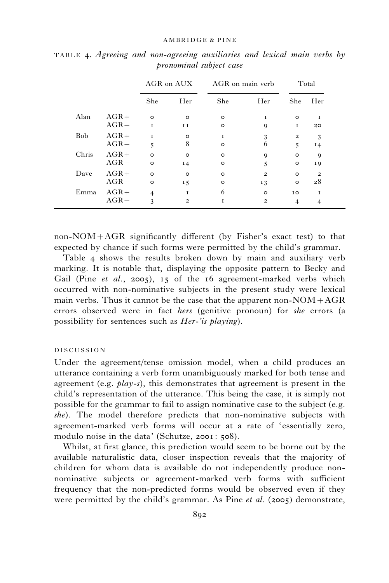|            |         | AGR on AUX     |                | AGR on main verb |                         | Total                   |                         |
|------------|---------|----------------|----------------|------------------|-------------------------|-------------------------|-------------------------|
|            |         | She            | Her            | She              | Her                     | She                     | Her                     |
| Alan       | $AGR+$  | $\circ$        | $\circ$        | $\circ$          | I                       | $\circ$                 | 1                       |
|            | $AGR -$ | 1              | $I$ $I$        | $\circ$          | 9                       | <b>I</b>                | 20                      |
| <b>Bob</b> | $AGR +$ | <b>I</b>       | $\circ$        | <b>I</b>         | 3                       | $\overline{\mathbf{c}}$ | 3                       |
|            | $AGR -$ | 5              | 8              | $\circ$          | 6                       | 5                       | 14                      |
| Chris      | $AGR+$  | $\circ$        | $\circ$        | $\circ$          | 9                       | $\circ$                 | 9                       |
| $AGR -$    |         | $\circ$        | 14             | $\circ$          | 5                       | o                       | 19                      |
| Dave       | $AGR+$  | $\circ$        | $\circ$        | $\circ$          | $\overline{\mathbf{c}}$ | $\circ$                 | $\overline{\mathbf{c}}$ |
|            | $AGR -$ | $\circ$        | 15             | $\circ$          | 13                      | $\circ$                 | 28                      |
| Emma       | $AGR+$  | $\overline{4}$ | 1              | 6                | $\circ$                 | 10                      | 1                       |
|            | $AGR -$ | 3              | $\overline{2}$ | T                | $\overline{\mathbf{c}}$ | $\overline{4}$          | 4                       |

TABLE 4. Agreeing and non-agreeing auxiliaries and lexical main verbs by pronominal subject case

non-NOM+AGR significantly different (by Fisher's exact test) to that expected by chance if such forms were permitted by the child's grammar.

Table 4 shows the results broken down by main and auxiliary verb marking. It is notable that, displaying the opposite pattern to Becky and Gail (Pine et al., 2005), 15 of the 16 agreement-marked verbs which occurred with non-nominative subjects in the present study were lexical main verbs. Thus it cannot be the case that the apparent non- $NOM+AGR$ errors observed were in fact *hers* (genitive pronoun) for *she* errors (a possibility for sentences such as Her-'is playing).

## DISCUSSION

Under the agreement/tense omission model, when a child produces an utterance containing a verb form unambiguously marked for both tense and agreement (e.g.  $play-s$ ), this demonstrates that agreement is present in the child's representation of the utterance. This being the case, it is simply not possible for the grammar to fail to assign nominative case to the subject (e.g. she). The model therefore predicts that non-nominative subjects with agreement-marked verb forms will occur at a rate of 'essentially zero, modulo noise in the data' (Schutze, 2001: 508).

Whilst, at first glance, this prediction would seem to be borne out by the available naturalistic data, closer inspection reveals that the majority of children for whom data is available do not independently produce nonnominative subjects or agreement-marked verb forms with sufficient frequency that the non-predicted forms would be observed even if they were permitted by the child's grammar. As Pine et al. (2005) demonstrate,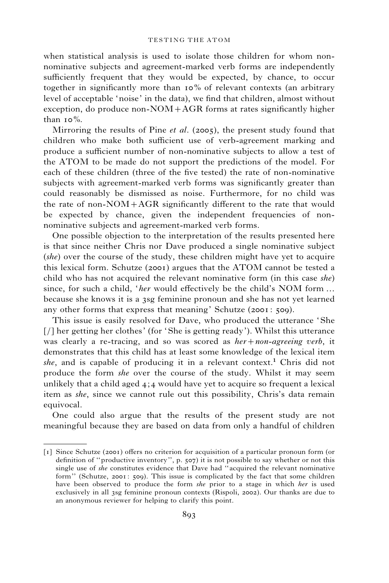### TESTING THE ATOM

when statistical analysis is used to isolate those children for whom nonnominative subjects and agreement-marked verb forms are independently sufficiently frequent that they would be expected, by chance, to occur together in significantly more than 10% of relevant contexts (an arbitrary level of acceptable 'noise' in the data), we find that children, almost without exception, do produce non-NOM+AGR forms at rates significantly higher than  $10\%$ .

Mirroring the results of Pine *et al.* (2005), the present study found that children who make both sufficient use of verb-agreement marking and produce a sufficient number of non-nominative subjects to allow a test of the ATOM to be made do not support the predictions of the model. For each of these children (three of the five tested) the rate of non-nominative subjects with agreement-marked verb forms was significantly greater than could reasonably be dismissed as noise. Furthermore, for no child was the rate of non-NOM+AGR significantly different to the rate that would be expected by chance, given the independent frequencies of nonnominative subjects and agreement-marked verb forms.

One possible objection to the interpretation of the results presented here is that since neither Chris nor Dave produced a single nominative subject (she) over the course of the study, these children might have yet to acquire this lexical form. Schutze (2001) argues that the ATOM cannot be tested a child who has not acquired the relevant nominative form (in this case she) since, for such a child, '*her* would effectively be the child's NOM form ... because she knows it is a 3sg feminine pronoun and she has not yet learned any other forms that express that meaning' Schutze (2001: 509).

This issue is easily resolved for Dave, who produced the utterance 'She [/] her getting her clothes' (for 'She is getting ready'). Whilst this utterance was clearly a re-tracing, and so was scored as  $her + non-agreeing$  verb, it demonstrates that this child has at least some knowledge of the lexical item she, and is capable of producing it in a relevant context.<sup>1</sup> Chris did not produce the form she over the course of the study. Whilst it may seem unlikely that a child aged  $4:4$  would have yet to acquire so frequent a lexical item as she, since we cannot rule out this possibility, Chris's data remain equivocal.

One could also argue that the results of the present study are not meaningful because they are based on data from only a handful of children

<sup>[1]</sup> Since Schutze (2001) offers no criterion for acquisition of a particular pronoun form (or definition of ''productive inventory'', p. 507) it is not possible to say whether or not this single use of *she* constitutes evidence that Dave had "acquired the relevant nominative form'' (Schutze, 2001: 509). This issue is complicated by the fact that some children have been observed to produce the form *she* prior to a stage in which *her* is used exclusively in all 3sg feminine pronoun contexts (Rispoli, 2002). Our thanks are due to an anonymous reviewer for helping to clarify this point.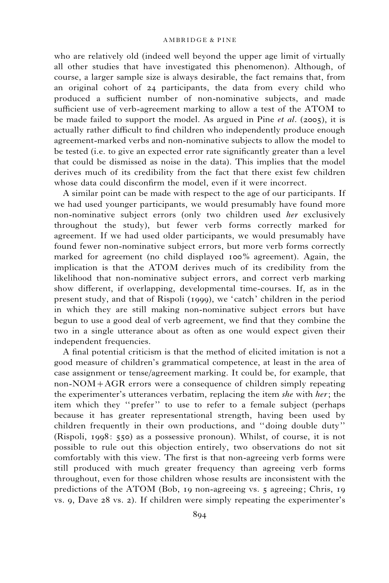who are relatively old (indeed well beyond the upper age limit of virtually all other studies that have investigated this phenomenon). Although, of course, a larger sample size is always desirable, the fact remains that, from an original cohort of 24 participants, the data from every child who produced a sufficient number of non-nominative subjects, and made sufficient use of verb-agreement marking to allow a test of the ATOM to be made failed to support the model. As argued in Pine *et al.* (2005), it is actually rather difficult to find children who independently produce enough agreement-marked verbs and non-nominative subjects to allow the model to be tested (i.e. to give an expected error rate significantly greater than a level that could be dismissed as noise in the data). This implies that the model derives much of its credibility from the fact that there exist few children whose data could disconfirm the model, even if it were incorrect.

A similar point can be made with respect to the age of our participants. If we had used younger participants, we would presumably have found more non-nominative subject errors (only two children used her exclusively throughout the study), but fewer verb forms correctly marked for agreement. If we had used older participants, we would presumably have found fewer non-nominative subject errors, but more verb forms correctly marked for agreement (no child displayed 100% agreement). Again, the implication is that the ATOM derives much of its credibility from the likelihood that non-nominative subject errors, and correct verb marking show different, if overlapping, developmental time-courses. If, as in the present study, and that of Rispoli (1999), we 'catch' children in the period in which they are still making non-nominative subject errors but have begun to use a good deal of verb agreement, we find that they combine the two in a single utterance about as often as one would expect given their independent frequencies.

A final potential criticism is that the method of elicited imitation is not a good measure of children's grammatical competence, at least in the area of case assignment or tense/agreement marking. It could be, for example, that non-NOM+AGR errors were a consequence of children simply repeating the experimenter's utterances verbatim, replacing the item she with her; the item which they ''prefer'' to use to refer to a female subject (perhaps because it has greater representational strength, having been used by children frequently in their own productions, and ''doing double duty'' (Rispoli, 1998: 550) as a possessive pronoun). Whilst, of course, it is not possible to rule out this objection entirely, two observations do not sit comfortably with this view. The first is that non-agreeing verb forms were still produced with much greater frequency than agreeing verb forms throughout, even for those children whose results are inconsistent with the predictions of the ATOM (Bob, 19 non-agreeing vs. 5 agreeing; Chris, 19 vs. 9, Dave 28 vs. 2). If children were simply repeating the experimenter's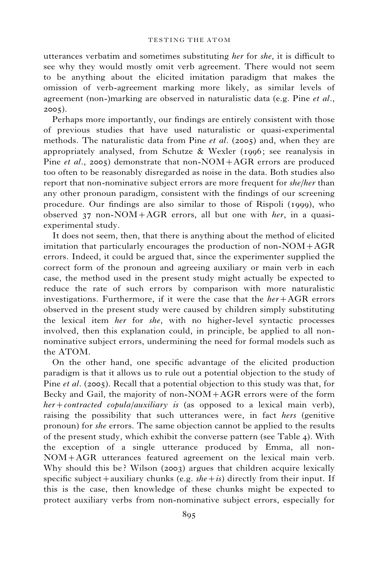utterances verbatim and sometimes substituting her for she, it is difficult to see why they would mostly omit verb agreement. There would not seem to be anything about the elicited imitation paradigm that makes the omission of verb-agreement marking more likely, as similar levels of agreement (non-)marking are observed in naturalistic data (e.g. Pine *et al.*, 2005).

Perhaps more importantly, our findings are entirely consistent with those of previous studies that have used naturalistic or quasi-experimental methods. The naturalistic data from Pine et al. (2005) and, when they are appropriately analysed, from Schutze  $\&$  Wexler (1996; see reanalysis in Pine *et al.*, 2005) demonstrate that non-NOM+AGR errors are produced too often to be reasonably disregarded as noise in the data. Both studies also report that non-nominative subject errors are more frequent for *she/her* than any other pronoun paradigm, consistent with the findings of our screening procedure. Our findings are also similar to those of Rispoli (1999), who observed  $37$  non-NOM+AGR errors, all but one with *her*, in a quasiexperimental study.

It does not seem, then, that there is anything about the method of elicited imitation that particularly encourages the production of non-NOM+AGR errors. Indeed, it could be argued that, since the experimenter supplied the correct form of the pronoun and agreeing auxiliary or main verb in each case, the method used in the present study might actually be expected to reduce the rate of such errors by comparison with more naturalistic investigations. Furthermore, if it were the case that the  $her+AGR$  errors observed in the present study were caused by children simply substituting the lexical item her for she, with no higher-level syntactic processes involved, then this explanation could, in principle, be applied to all nonnominative subject errors, undermining the need for formal models such as the ATOM.

On the other hand, one specific advantage of the elicited production paradigm is that it allows us to rule out a potential objection to the study of Pine *et al.* (2005). Recall that a potential objection to this study was that, for Becky and Gail, the majority of non-NOM+AGR errors were of the form  $her + contracted\ copula/auxiliary\;is$  (as opposed to a lexical main verb), raising the possibility that such utterances were, in fact hers (genitive pronoun) for she errors. The same objection cannot be applied to the results of the present study, which exhibit the converse pattern (see Table 4). With the exception of a single utterance produced by Emma, all non-NOM+AGR utterances featured agreement on the lexical main verb. Why should this be? Wilson (2003) argues that children acquire lexically specific subject + auxiliary chunks (e.g.  $she + is$ ) directly from their input. If this is the case, then knowledge of these chunks might be expected to protect auxiliary verbs from non-nominative subject errors, especially for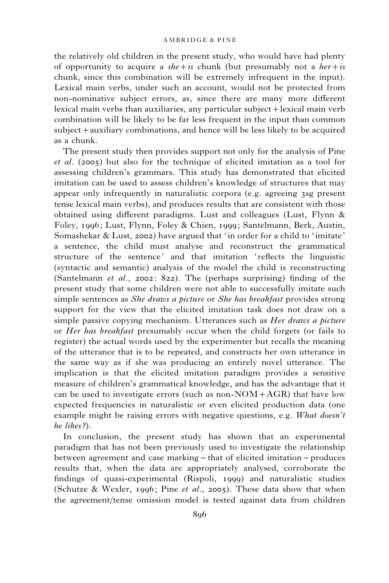the relatively old children in the present study, who would have had plenty of opportunity to acquire a she + is chunk (but presumably not a her + is chunk, since this combination will be extremely infrequent in the input). Lexical main verbs, under such an account, would not be protected from non-nominative subject errors, as, since there are many more different lexical main verbs than auxiliaries, any particular subject+lexical main verb combination will be likely to be far less frequent in the input than common subject+auxiliary combinations, and hence will be less likely to be acquired as a chunk.

The present study then provides support not only for the analysis of Pine et al. (2005) but also for the technique of elicited imitation as a tool for assessing children's grammars. This study has demonstrated that elicited imitation can be used to assess children's knowledge of structures that may appear only infrequently in naturalistic corpora (e.g. agreeing 3sg present tense lexical main verbs), and produces results that are consistent with those obtained using different paradigms. Lust and colleagues (Lust, Flynn & Foley, 1996; Lust, Flynn, Foley & Chien, 1999; Santelmann, Berk, Austin, Somashekar & Lust, 2002) have argued that 'in order for a child to 'imitate' a sentence, the child must analyse and reconstruct the grammatical structure of the sentence' and that imitation 'reflects the linguistic (syntactic and semantic) analysis of the model the child is reconstructing (Santelmann et al., 2002: 822). The (perhaps surprising) finding of the present study that some children were not able to successfully imitate such simple sentences as *She draws a picture* or *She has breakfast* provides strong support for the view that the elicited imitation task does not draw on a simple passive copying mechanism. Utterances such as *Her draws a picture* or *Her has breakfast* presumably occur when the child forgets (or fails to register) the actual words used by the experimenter but recalls the meaning of the utterance that is to be repeated, and constructs her own utterance in the same way as if she was producing an entirely novel utterance. The implication is that the elicited imitation paradigm provides a sensitive measure of children's grammatical knowledge, and has the advantage that it can be used to investigate errors (such as non- $NOM+AGR$ ) that have low expected frequencies in naturalistic or even elicited production data (one example might be raising errors with negative questions, e.g. What doesn't he likes?).

In conclusion, the present study has shown that an experimental paradigm that has not been previously used to investigate the relationship between agreement and case marking – that of elicited imitation – produces results that, when the data are appropriately analysed, corroborate the findings of quasi-experimental (Rispoli, 1999) and naturalistic studies (Schutze & Wexler, 1996; Pine et al., 2005). These data show that when the agreement/tense omission model is tested against data from children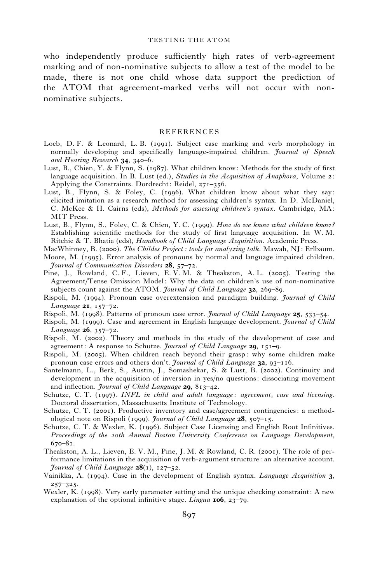who independently produce sufficiently high rates of verb-agreement marking and of non-nominative subjects to allow a test of the model to be made, there is not one child whose data support the prediction of the ATOM that agreement-marked verbs will not occur with nonnominative subjects.

#### REFERENCES

- Loeb, D. F. & Leonard, L. B. (1991). Subject case marking and verb morphology in normally developing and specifically language-impaired children. *Journal of Speech* and Hearing Research 34, 340-6.
- Lust, B., Chien, Y. & Flynn, S. (1987). What children know: Methods for the study of first language acquisition. In B. Lust (ed.), Studies in the Acquisition of Anaphora, Volume  $\alpha$ : Applying the Constraints. Dordrecht: Reidel, 271–356.
- Lust, B., Flynn, S. & Foley, C. (1996). What children know about what they say: elicited imitation as a research method for assessing children's syntax. In D. McDaniel, C. McKee & H. Cairns (eds), Methods for assessing children's syntax. Cambridge, MA: MIT Press.
- Lust, B., Flynn, S., Foley, C. & Chien, Y. C. (1999). How do we know what children know? Establishing scientific methods for the study of first language acquisition. In W. M. Ritchie & T. Bhatia (eds), Handbook of Child Language Acquisition. Academic Press.
- MacWhinney, B. (2000). The Childes Project : tools for analyzing talk. Mawah, NJ: Erlbaum.
- Moore, M. (1995). Error analysis of pronouns by normal and language impaired children. Journal of Communication Disorders 28, 57–72.
- Pine, J., Rowland, C. F., Lieven, E. V. M. & Theakston, A. L. (2005). Testing the Agreement/Tense Omission Model: Why the data on children's use of non-nominative subjects count against the ATOM. *Journal of Child Language*  $32$ ,  $269-89$ .
- Rispoli, M. (1994). Pronoun case overextension and paradigm building. *Journal of Child* Language  $2I$ ,  $157-72$ .
- Rispoli, M. (1998). Patterns of pronoun case error. Journal of Child Language 25, 533–54.
- Rispoli, M. (1999). Case and agreement in English language development. Journal of Child Language  $26, 357 - 72$ .
- Rispoli, M. (2002). Theory and methods in the study of the development of case and agreement: A response to Schutze. Journal of Child Language 29, 151-9.
- Rispoli, M. (2005). When children reach beyond their grasp: why some children make pronoun case errors and others don't. *Journal of Child Language*  $32$ ,  $93-116$ .
- Santelmann, L., Berk, S., Austin, J., Somashekar, S. & Lust, B. (2002). Continuity and development in the acquisition of inversion in yes/no questions: dissociating movement and inflection. Journal of Child Language 29, 813-42.
- Schutze, C. T. (1997). INFL in child and adult language: agreement, case and licensing. Doctoral dissertation, Massachusetts Institute of Technology.
- Schutze, C. T. (2001). Productive inventory and case/agreement contingencies: a methodological note on Rispoli (1999). Journal of Child Language  $28$ , 507–15.
- Schutze, C. T. & Wexler, K. (1996). Subject Case Licensing and English Root Infinitives. Proceedings of the 20th Annual Boston University Conference on Language Development,  $670 - 81$ .
- Theakston, A. L., Lieven, E. V. M., Pine, J. M. & Rowland, C. R. (2001). The role of performance limitations in the acquisition of verb-argument structure: an alternative account. *Journal of Child Language*  $28(1)$ ,  $127-52$ .
- Vainikka, A. (1994). Case in the development of English syntax. Language Acquisition 3, 257–325.
- Wexler, K. (1998). Very early parameter setting and the unique checking constraint: A new explanation of the optional infinitive stage. *Lingua* 106, 23–79.